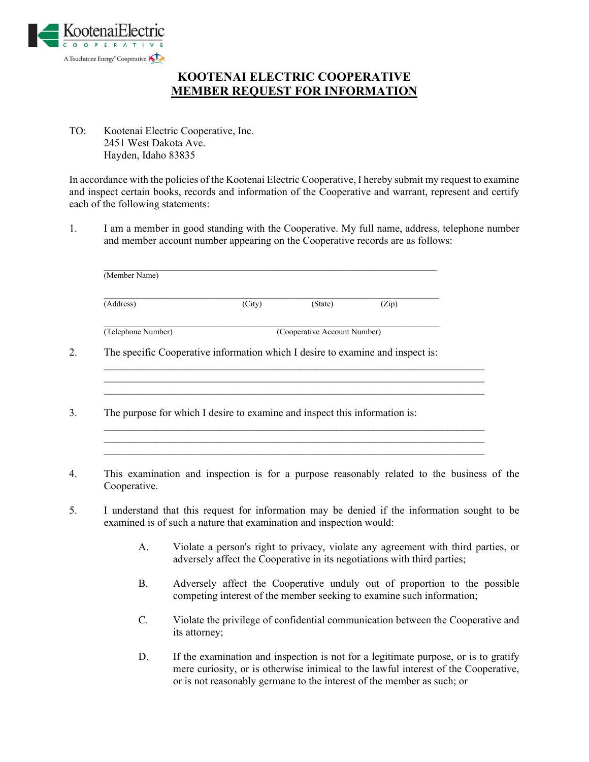

## **KOOTENAI ELECTRIC COOPERATIVE MEMBER REQUEST FOR INFORMATION**

TO: Kootenai Electric Cooperative, Inc. 2451 West Dakota Ave. Hayden, Idaho 83835

In accordance with the policies of the Kootenai Electric Cooperative, I hereby submit my request to examine and inspect certain books, records and information of the Cooperative and warrant, represent and certify each of the following statements:

1. I am a member in good standing with the Cooperative. My full name, address, telephone number and member account number appearing on the Cooperative records are as follows:

| (Address)                                                                      | (City) | (State)                      | (Zip) |
|--------------------------------------------------------------------------------|--------|------------------------------|-------|
| (Telephone Number)                                                             |        | (Cooperative Account Number) |       |
| The specific Cooperative information which I desire to examine and inspect is: |        |                              |       |
|                                                                                |        |                              |       |
|                                                                                |        |                              |       |
|                                                                                |        |                              |       |
| The purpose for which I desire to examine and inspect this information is:     |        |                              |       |

- 4. This examination and inspection is for a purpose reasonably related to the business of the Cooperative.
- 5. I understand that this request for information may be denied if the information sought to be examined is of such a nature that examination and inspection would:
	- A. Violate a person's right to privacy, violate any agreement with third parties, or adversely affect the Cooperative in its negotiations with third parties;
	- B. Adversely affect the Cooperative unduly out of proportion to the possible competing interest of the member seeking to examine such information;
	- C. Violate the privilege of confidential communication between the Cooperative and its attorney;
	- D. If the examination and inspection is not for a legitimate purpose, or is to gratify mere curiosity, or is otherwise inimical to the lawful interest of the Cooperative, or is not reasonably germane to the interest of the member as such; or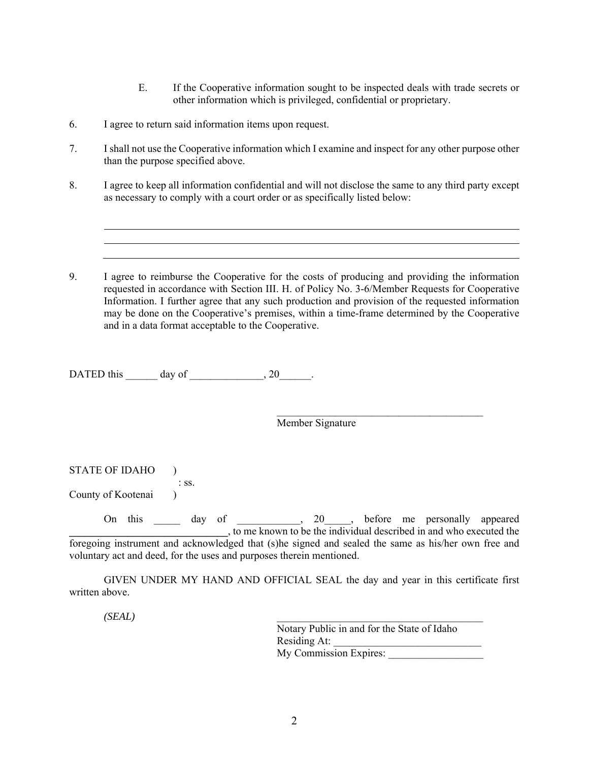- E. If the Cooperative information sought to be inspected deals with trade secrets or other information which is privileged, confidential or proprietary.
- 6. I agree to return said information items upon request.
- 7. I shall not use the Cooperative information which I examine and inspect for any other purpose other than the purpose specified above.
- 8. I agree to keep all information confidential and will not disclose the same to any third party except as necessary to comply with a court order or as specifically listed below:
- 9. I agree to reimburse the Cooperative for the costs of producing and providing the information requested in accordance with Section III. H. of Policy No. 3-6/Member Requests for Cooperative Information. I further agree that any such production and provision of the requested information may be done on the Cooperative's premises, within a time-frame determined by the Cooperative and in a data format acceptable to the Cooperative.

DATED this day of  $.20$ .

Member Signature

| <b>STATE OF IDAHO</b>                                                                                                                                                        |      |         |  |     |  |                                                                                                     |  |
|------------------------------------------------------------------------------------------------------------------------------------------------------------------------------|------|---------|--|-----|--|-----------------------------------------------------------------------------------------------------|--|
| County of Kootenai                                                                                                                                                           |      | $:$ SS. |  |     |  |                                                                                                     |  |
| On                                                                                                                                                                           | this | day of  |  | 20, |  | before me personally appeared<br>to me known to be the individual described in and who executed the |  |
| foregoing instrument and acknowledged that (s) he signed and sealed the same as his/her own free and<br>voluntary act and deed, for the uses and purposes therein mentioned. |      |         |  |     |  |                                                                                                     |  |

GIVEN UNDER MY HAND AND OFFICIAL SEAL the day and year in this certificate first

 $\mathcal{L}_\text{max}$  and  $\mathcal{L}_\text{max}$  and  $\mathcal{L}_\text{max}$  and  $\mathcal{L}_\text{max}$  and  $\mathcal{L}_\text{max}$ 

 *(SEAL)* \_\_\_\_\_\_\_\_\_\_\_\_\_\_\_\_\_\_\_\_\_\_\_\_\_\_\_\_\_\_\_\_\_\_\_\_\_\_\_

written above.

Notary Public in and for the State of Idaho Residing At: My Commission Expires: